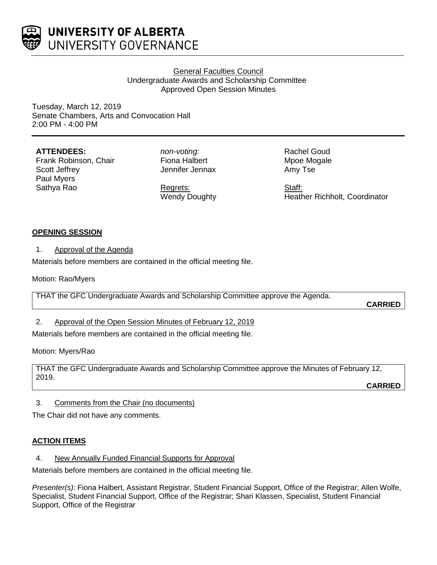

# General Faculties Council Undergraduate Awards and Scholarship Committee Approved Open Session Minutes

Tuesday, March 12, 2019 Senate Chambers, Arts and Convocation Hall 2:00 PM - 4:00 PM

## **ATTENDEES:**

Frank Robinson, Chair Scott Jeffrey Paul Myers Sathya Rao

*non-voting:* Fiona Halbert Jennifer Jennax

Regrets: Wendy Doughty Rachel Goud Mpoe Mogale Amy Tse

Staff: Heather Richholt, Coordinator

# **OPENING SESSION**

## 1. Approval of the Agenda

Materials before members are contained in the official meeting file.

Motion: Rao/Myers

THAT the GFC Undergraduate Awards and Scholarship Committee approve the Agenda.

**CARRIED**

# 2. Approval of the Open Session Minutes of February 12, 2019

Materials before members are contained in the official meeting file.

Motion: Myers/Rao

THAT the GFC Undergraduate Awards and Scholarship Committee approve the Minutes of February 12, 2019.

**CARRIED**

3. Comments from the Chair (no documents)

The Chair did not have any comments.

# **ACTION ITEMS**

4. New Annually Funded Financial Supports for Approval

Materials before members are contained in the official meeting file.

*Presenter(s)*: Fiona Halbert, Assistant Registrar, Student Financial Support, Office of the Registrar; Allen Wolfe, Specialist, Student Financial Support, Office of the Registrar; Shari Klassen, Specialist, Student Financial Support, Office of the Registrar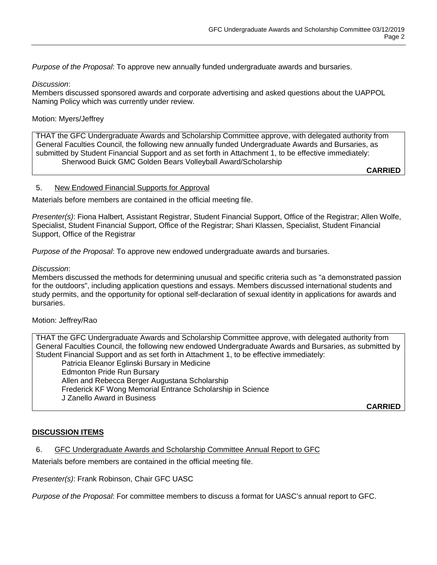*Purpose of the Proposal*: To approve new annually funded undergraduate awards and bursaries.

#### *Discussion*:

Members discussed sponsored awards and corporate advertising and asked questions about the UAPPOL Naming Policy which was currently under review.

## Motion: Myers/Jeffrey

THAT the GFC Undergraduate Awards and Scholarship Committee approve, with delegated authority from General Faculties Council, the following new annually funded Undergraduate Awards and Bursaries, as submitted by Student Financial Support and as set forth in Attachment 1, to be effective immediately: Sherwood Buick GMC Golden Bears Volleyball Award/Scholarship

**CARRIED**

#### 5. New Endowed Financial Supports for Approval

Materials before members are contained in the official meeting file.

*Presenter(s)*: Fiona Halbert, Assistant Registrar, Student Financial Support, Office of the Registrar; Allen Wolfe, Specialist, Student Financial Support, Office of the Registrar; Shari Klassen, Specialist, Student Financial Support, Office of the Registrar

*Purpose of the Proposal*: To approve new endowed undergraduate awards and bursaries.

#### *Discussion*:

Members discussed the methods for determining unusual and specific criteria such as "a demonstrated passion for the outdoors", including application questions and essays. Members discussed international students and study permits, and the opportunity for optional self-declaration of sexual identity in applications for awards and bursaries.

#### Motion: Jeffrey/Rao

THAT the GFC Undergraduate Awards and Scholarship Committee approve, with delegated authority from General Faculties Council, the following new endowed Undergraduate Awards and Bursaries, as submitted by Student Financial Support and as set forth in Attachment 1, to be effective immediately:

Patricia Eleanor Eglinski Bursary in Medicine Edmonton Pride Run Bursary Allen and Rebecca Berger Augustana Scholarship Frederick KF Wong Memorial Entrance Scholarship in Science J Zanello Award in Business

**CARRIED**

#### **DISCUSSION ITEMS**

#### 6. GFC Undergraduate Awards and Scholarship Committee Annual Report to GFC

Materials before members are contained in the official meeting file.

*Presenter(s)*: Frank Robinson, Chair GFC UASC

*Purpose of the Proposal*: For committee members to discuss a format for UASC's annual report to GFC.